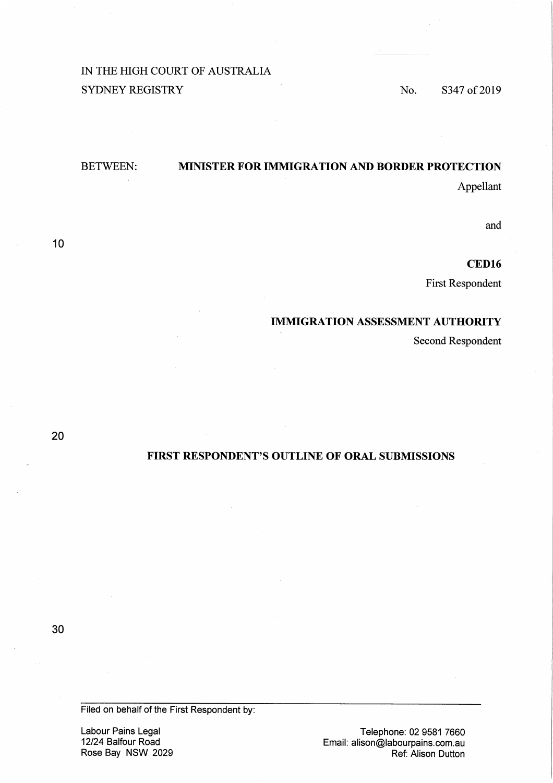# IN THE HIGH COURT OF AUSTRALIA SYDNEY REGISTRY No. S347 of 2019

## BETWEEN: **MINISTER FOR IMMIGRATION AND BORDER PROTECTION**

Appellant

and

**CED16** 

First Respondent

## **IMMIGRATION ASSESSMENT AUTHORITY**

Second Respondent

20

10

## **FIRST RESPONDENT'S OUTLINE OF ORAL SUBMISSIONS**

30

Filed on behalf of the First Respondent by:

Labour Pains Legal 12/24 Balfour Road Rose Bay NSW 2029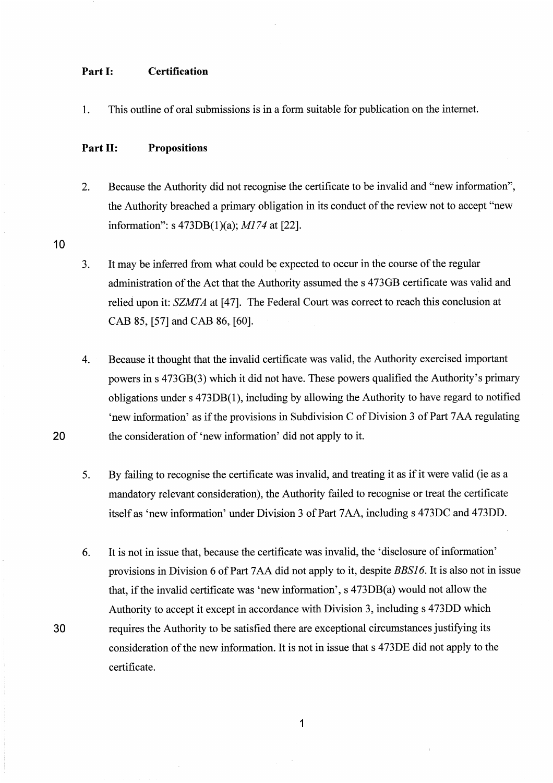## **Part I: Certification**

1. This outline of oral submissions is in a form suitable for publication on the internet.

## **Part** II: **Propositions**

2. Because the Authority did not recognise the certificate to be invalid and "new information", the Authority breached a primary obligation in its conduct of the review not to accept "new information": s 473DB(l)(a); *M174* at [22].

10

**20** 

- 3. It may be inferred from what could be expected to occur in the course of the regular administration of the Act that the Authority assumed the s 473GB certificate was valid and relied upon it: SZMTA at [47]. The Federal Court was correct to reach this conclusion at CAB 85, [57] and CAB 86, [60].
- 4. Because it thought that the invalid certificate was valid, the Authority exercised important powers ins 473GB(3) which it did not have. These powers qualified the Authority's primary obligations under s 473DB(l), including by allowing the Authority to have regard to notified 'new information' as if the provisions in Subdivision C of Division 3 of Part 7 AA regulating the consideration of 'new information' did not apply to it.
- 5. By failing to recognise the certificate was invalid, and treating it as if it were valid (ie as a mandatory relevant consideration), the Authority failed to recognise or treat the certificate itself as 'new information' under Division 3 of Part 7AA, including s 473DC and 473DD.
- 6. It is not in issue that, because the certificate was invalid, the 'disclosure of information' provisions in Division 6 of Part 7AA did not apply to it, despite BBSJ6. It is also not in issue that, if the invalid certificate was 'new information', s 473DB(a) would not allow the Authority to accept it except in accordance with Division 3, including s 473DD which **30** requires the Authority to be satisfied there are exceptional circumstances justifying its consideration of the new information. It is not in issue that s 473DE did not apply to the certificate.

**1**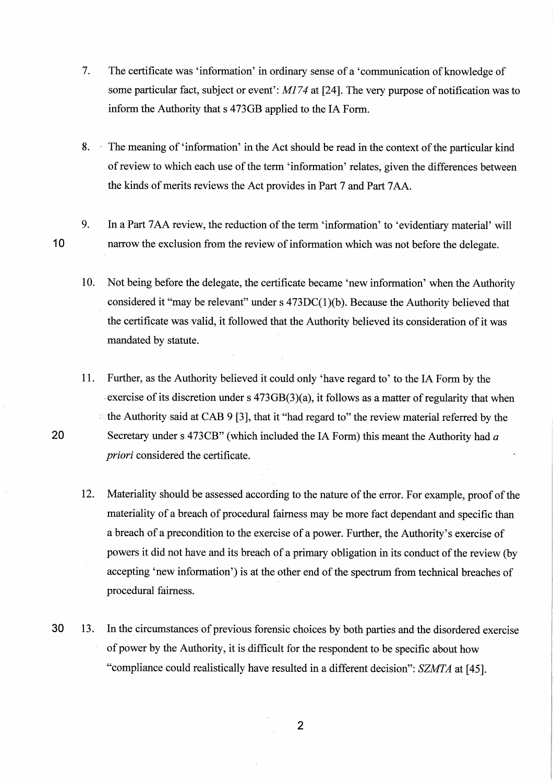- 7. The certificate was 'information' in ordinary sense of a 'communication of knowledge of some particular fact, subject or event':  $M174$  at [24]. The very purpose of notification was to inform the Authority that s 473GB applied to the IA Form.
- **8.**  The meaning of 'information' in the Act should be read in the context of the particular kind ofreview to which each use of the term 'information' relates, given the differences between the kinds of merits reviews the Act provides in Part 7 and Part 7 AA.
- 9. In a Part 7AA review, the reduction of the term 'information' to 'evidentiary material' will **1 0** narrow the exclusion from the review of information which was not before the delegate.
	- 10. Not being before the delegate, the certificate became 'new information' when the Authority considered it "may be relevant" under  $s$  473DC(1)(b). Because the Authority believed that the certificate was valid, it followed that the Authority believed its consideration of it was mandated by statute.
- 11. Further, as the Authority believed it could only 'have regard to' to the IA Form by the exercise of its discretion under s  $473GB(3)(a)$ , it follows as a matter of regularity that when *:* the Authority said at CAB 9 [3], that it"had regard to" the review material referred by the **20** Secretary under s 473CB" (which included the IA Form) this meant the Authority had *<sup>a</sup> priori* considered the certificate.
	- 12. Materiality should be assessed according to the nature of the error. For example, proof of the materiality of a breach of procedural fairness may be more fact dependant and specific than a breach of a precondition to the exercise of a power. Further, the Authority's exercise of powers it did not have and its breach of a primary obligation in its conduct of the review (by accepting 'new information') is at the other end of the spectrum from technical breaches of procedural fairness.
- **30** 13. In the circumstances of previous forensic choices by both parties and the disordered exercise of power by the Authority, it is difficult for the respondent to be specific about how "compliance could realistically have resulted in a different decision": SZMTA at [45].

2